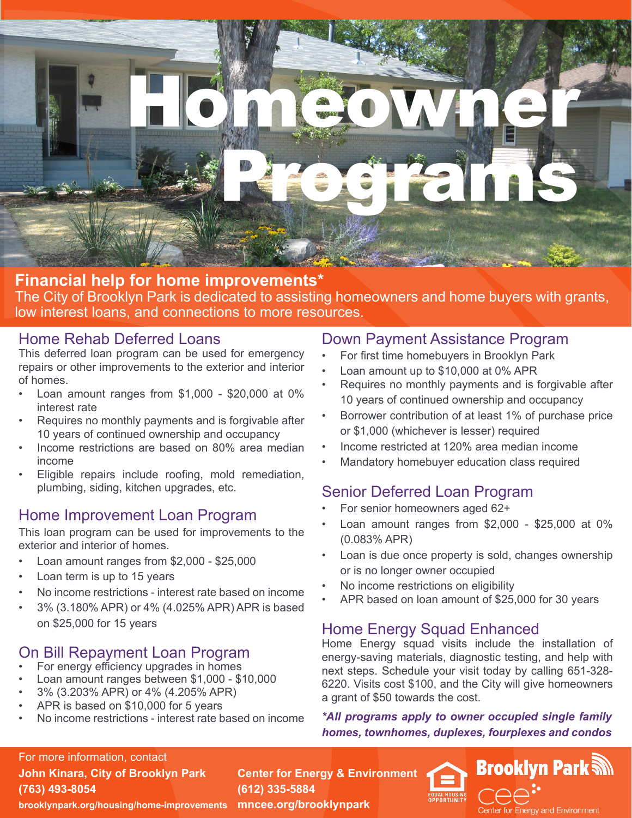

#### **Financial help for home improvements\*** The City of Brooklyn Park is dedicated to assisting homeowners and home buyers with grants, low interest loans, and connections to more resources.

#### Home Rehab Deferred Loans

This deferred loan program can be used for emergency repairs or other improvements to the exterior and interior of homes.

- Loan amount ranges from \$1,000 \$20,000 at 0% interest rate
- Requires no monthly payments and is forgivable after 10 years of continued ownership and occupancy
- Income restrictions are based on 80% area median income
- Eligible repairs include roofing, mold remediation, plumbing, siding, kitchen upgrades, etc.

## Home Improvement Loan Program

This loan program can be used for improvements to the exterior and interior of homes.

- Loan amount ranges from \$2,000 \$25,000
- Loan term is up to 15 years
- No income restrictions interest rate based on income
- 3% (3.180% APR) or 4% (4.025% APR) APR is based on \$25,000 for 15 years

## On Bill Repayment Loan Program

- For energy efficiency upgrades in homes
- Loan amount ranges between \$1,000 \$10,000
- 3% (3.203% APR) or 4% (4.205% APR)
- APR is based on \$10,000 for 5 years
- No income restrictions interest rate based on income

#### Down Payment Assistance Program

- For first time homebuyers in Brooklyn Park
- Loan amount up to \$10,000 at 0% APR
- Requires no monthly payments and is forgivable after 10 years of continued ownership and occupancy
- Borrower contribution of at least 1% of purchase price or \$1,000 (whichever is lesser) required
- Income restricted at 120% area median income
- Mandatory homebuyer education class required

## Senior Deferred Loan Program

- For senior homeowners aged 62+
- Loan amount ranges from \$2,000 \$25,000 at 0% (0.083% APR)
- Loan is due once property is sold, changes ownership or is no longer owner occupied
- No income restrictions on eligibility
- APR based on loan amount of \$25,000 for 30 years

## Home Energy Squad Enhanced

Home Energy squad visits include the installation of energy-saving materials, diagnostic testing, and help with next steps. Schedule your visit today by calling 651-328- 6220. Visits cost \$100, and the City will give homeowners a grant of \$50 towards the cost.

*\*All programs apply to owner occupied single family homes, townhomes, duplexes, fourplexes and condos*



**John Kinara, City of Brooklyn Park (763) 493-8054**

**Center for Energy & Environment (612) 335-5884**